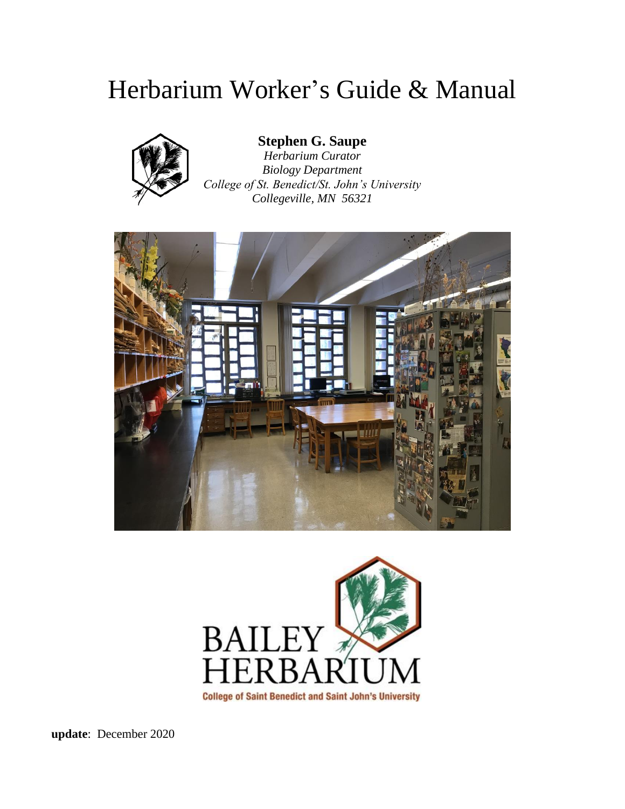# Herbarium Worker's Guide & Manual



#### **Stephen G. Saupe**

*Herbarium Curator Biology Department College of St. Benedict/St. John's University Collegeville, MN 56321*





**update**: December 2020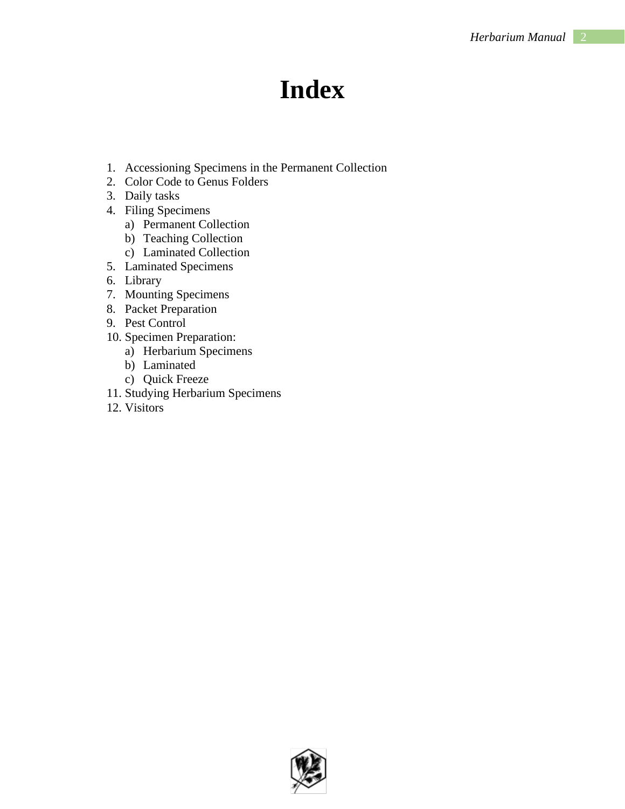# **Index**

- 1. Accessioning Specimens in the Permanent Collection
- 2. Color Code to Genus Folders
- 3. Daily tasks
- 4. Filing Specimens
	- a) Permanent Collection
	- b) Teaching Collection
	- c) Laminated Collection
- 5. Laminated Specimens
- 6. Library
- 7. Mounting Specimens
- 8. Packet Preparation
- 9. Pest Control
- 10. Specimen Preparation:
	- a) Herbarium Specimens
	- b) Laminated
	- c) Quick Freeze
- 11. Studying Herbarium Specimens
- 12. Visitors

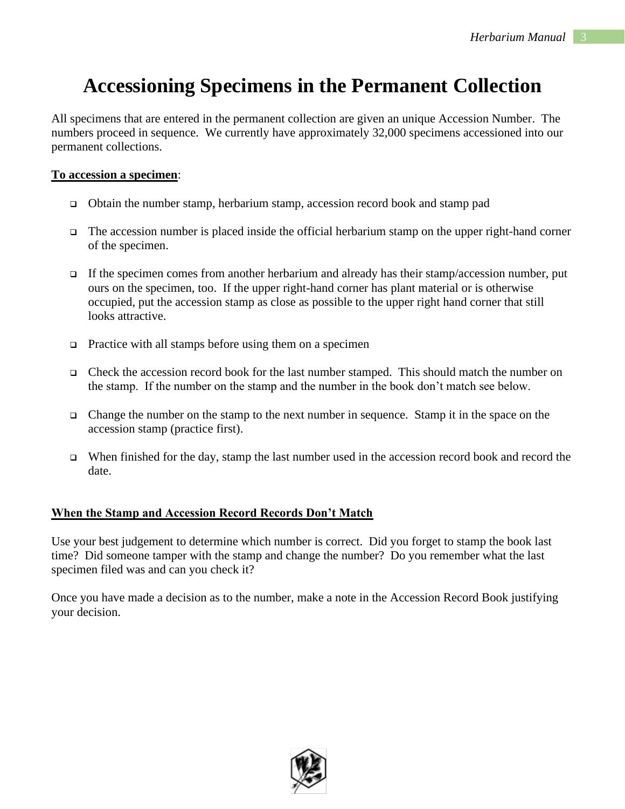# **Accessioning Specimens in the Permanent Collection**

All specimens that are entered in the permanent collection are given an unique Accession Number. The numbers proceed in sequence. We currently have approximately 32,000 specimens accessioned into our permanent collections.

#### **To accession a specimen**:

- ❑ Obtain the number stamp, herbarium stamp, accession record book and stamp pad
- ❑ The accession number is placed inside the official herbarium stamp on the upper right-hand corner of the specimen.
- $\Box$  If the specimen comes from another herbarium and already has their stamp/accession number, put ours on the specimen, too. If the upper right-hand corner has plant material or is otherwise occupied, put the accession stamp as close as possible to the upper right hand corner that still looks attractive.
- ❑ Practice with all stamps before using them on a specimen
- ❑ Check the accession record book for the last number stamped. This should match the number on the stamp. If the number on the stamp and the number in the book don't match see below.
- ❑ Change the number on the stamp to the next number in sequence. Stamp it in the space on the accession stamp (practice first).
- ❑ When finished for the day, stamp the last number used in the accession record book and record the date.

#### **When the Stamp and Accession Record Records Don't Match**

Use your best judgement to determine which number is correct. Did you forget to stamp the book last time? Did someone tamper with the stamp and change the number? Do you remember what the last specimen filed was and can you check it?

Once you have made a decision as to the number, make a note in the Accession Record Book justifying your decision.

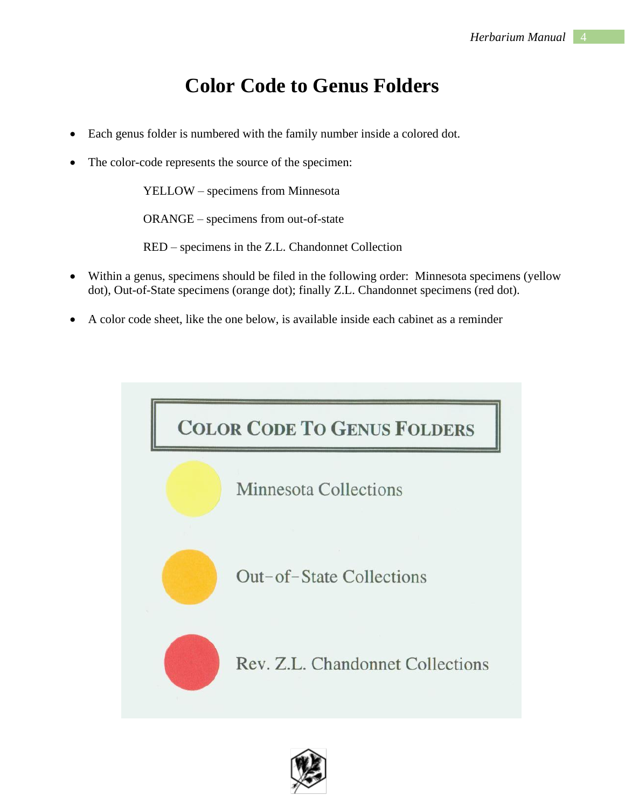## **Color Code to Genus Folders**

- Each genus folder is numbered with the family number inside a colored dot.
- The color-code represents the source of the specimen:

YELLOW – specimens from Minnesota

ORANGE – specimens from out-of-state

RED – specimens in the Z.L. Chandonnet Collection

- Within a genus, specimens should be filed in the following order: Minnesota specimens (yellow dot), Out-of-State specimens (orange dot); finally Z.L. Chandonnet specimens (red dot).
- A color code sheet, like the one below, is available inside each cabinet as a reminder



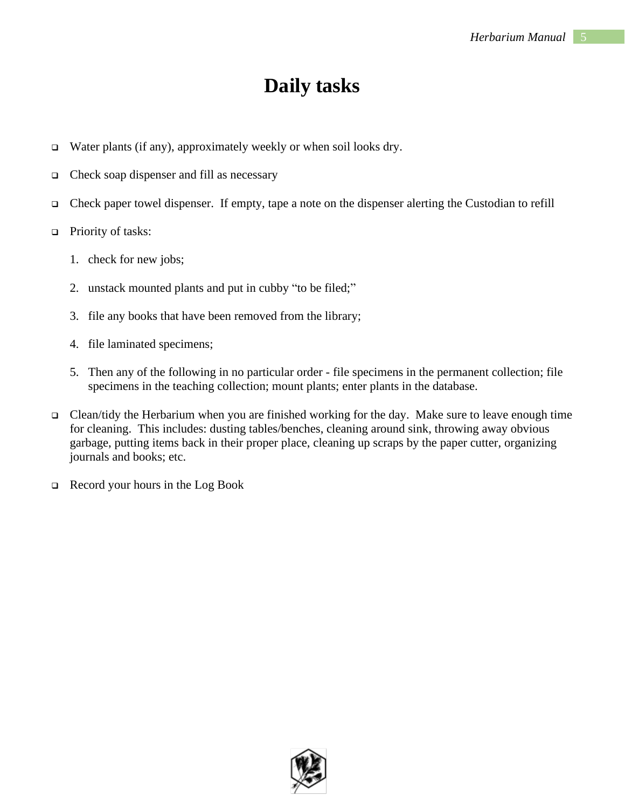### **Daily tasks**

- ❑ Water plants (if any), approximately weekly or when soil looks dry.
- ❑ Check soap dispenser and fill as necessary
- ❑ Check paper towel dispenser. If empty, tape a note on the dispenser alerting the Custodian to refill
- ❑ Priority of tasks:
	- 1. check for new jobs;
	- 2. unstack mounted plants and put in cubby "to be filed;"
	- 3. file any books that have been removed from the library;
	- 4. file laminated specimens;
	- 5. Then any of the following in no particular order file specimens in the permanent collection; file specimens in the teaching collection; mount plants; enter plants in the database.
- ❑ Clean/tidy the Herbarium when you are finished working for the day. Make sure to leave enough time for cleaning. This includes: dusting tables/benches, cleaning around sink, throwing away obvious garbage, putting items back in their proper place, cleaning up scraps by the paper cutter, organizing journals and books; etc.
- ❑ Record your hours in the Log Book

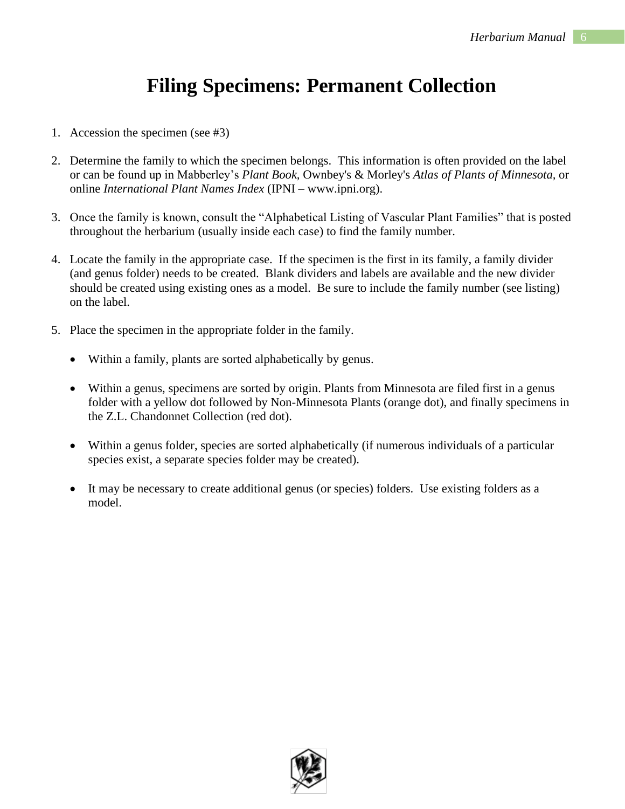## **Filing Specimens: Permanent Collection**

- 1. Accession the specimen (see #3)
- 2. Determine the family to which the specimen belongs. This information is often provided on the label or can be found up in Mabberley's *Plant Book,* Ownbey's & Morley's *Atlas of Plants of Minnesota,* or online *International Plant Names Index* (IPNI – www.ipni.org).
- 3. Once the family is known, consult the "Alphabetical Listing of Vascular Plant Families" that is posted throughout the herbarium (usually inside each case) to find the family number.
- 4. Locate the family in the appropriate case. If the specimen is the first in its family, a family divider (and genus folder) needs to be created. Blank dividers and labels are available and the new divider should be created using existing ones as a model. Be sure to include the family number (see listing) on the label.
- 5. Place the specimen in the appropriate folder in the family.
	- Within a family, plants are sorted alphabetically by genus.
	- Within a genus, specimens are sorted by origin. Plants from Minnesota are filed first in a genus folder with a yellow dot followed by Non-Minnesota Plants (orange dot), and finally specimens in the Z.L. Chandonnet Collection (red dot).
	- Within a genus folder, species are sorted alphabetically (if numerous individuals of a particular species exist, a separate species folder may be created).
	- It may be necessary to create additional genus (or species) folders. Use existing folders as a model.

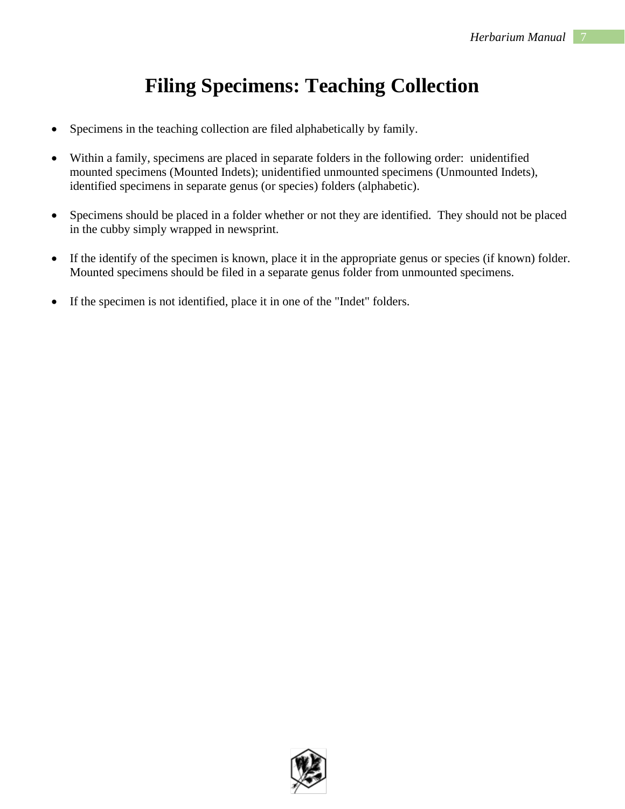# **Filing Specimens: Teaching Collection**

- Specimens in the teaching collection are filed alphabetically by family.
- Within a family, specimens are placed in separate folders in the following order: unidentified mounted specimens (Mounted Indets); unidentified unmounted specimens (Unmounted Indets), identified specimens in separate genus (or species) folders (alphabetic).
- Specimens should be placed in a folder whether or not they are identified. They should not be placed in the cubby simply wrapped in newsprint.
- If the identify of the specimen is known, place it in the appropriate genus or species (if known) folder. Mounted specimens should be filed in a separate genus folder from unmounted specimens.
- If the specimen is not identified, place it in one of the "Indet" folders.

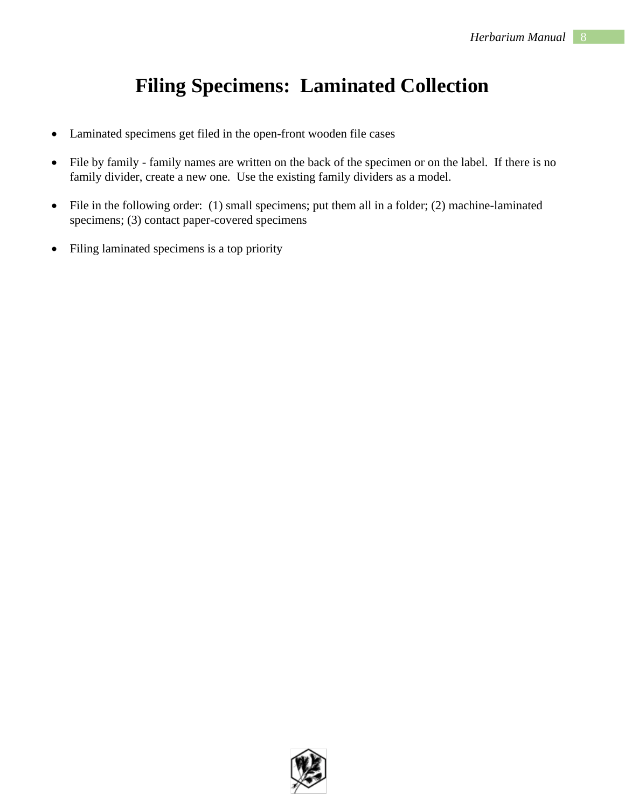# **Filing Specimens: Laminated Collection**

- Laminated specimens get filed in the open-front wooden file cases
- File by family family names are written on the back of the specimen or on the label. If there is no family divider, create a new one. Use the existing family dividers as a model.
- File in the following order: (1) small specimens; put them all in a folder; (2) machine-laminated specimens; (3) contact paper-covered specimens
- Filing laminated specimens is a top priority

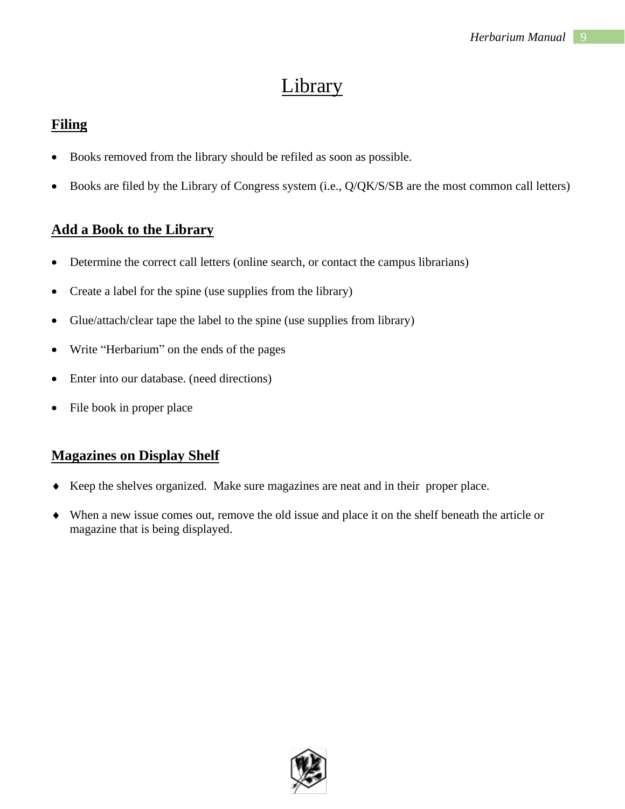### Library

#### **Filing**

- Books removed from the library should be refiled as soon as possible.
- Books are filed by the Library of Congress system (i.e., Q/QK/S/SB are the most common call letters)

#### **Add a Book to the Library**

- Determine the correct call letters (online search, or contact the campus librarians)
- Create a label for the spine (use supplies from the library)
- Glue/attach/clear tape the label to the spine (use supplies from library)
- Write "Herbarium" on the ends of the pages
- Enter into our database. (need directions)
- File book in proper place

#### **Magazines on Display Shelf**

- Keep the shelves organized. Make sure magazines are neat and in their proper place.
- When a new issue comes out, remove the old issue and place it on the shelf beneath the article or magazine that is being displayed.

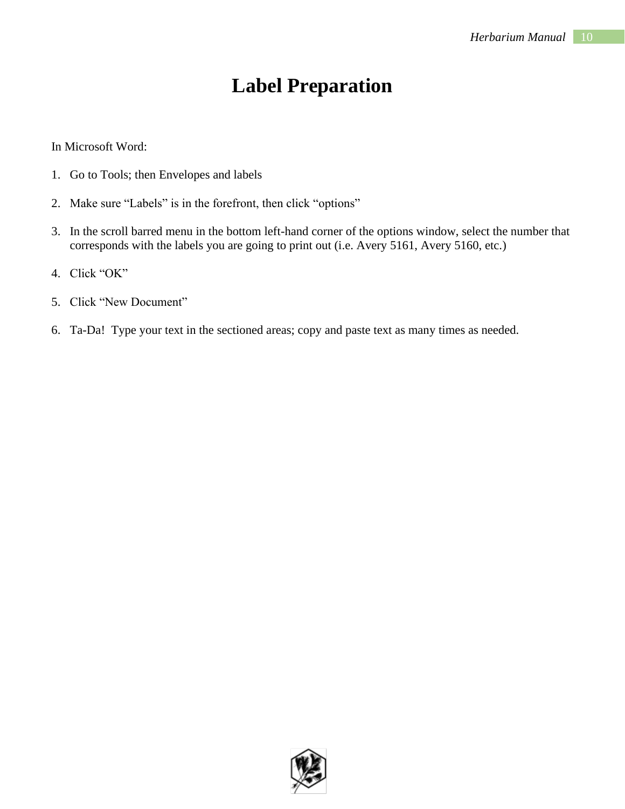### **Label Preparation**

In Microsoft Word:

- 1. Go to Tools; then Envelopes and labels
- 2. Make sure "Labels" is in the forefront, then click "options"
- 3. In the scroll barred menu in the bottom left-hand corner of the options window, select the number that corresponds with the labels you are going to print out (i.e. Avery 5161, Avery 5160, etc.)
- 4. Click "OK"
- 5. Click "New Document"
- 6. Ta-Da! Type your text in the sectioned areas; copy and paste text as many times as needed.

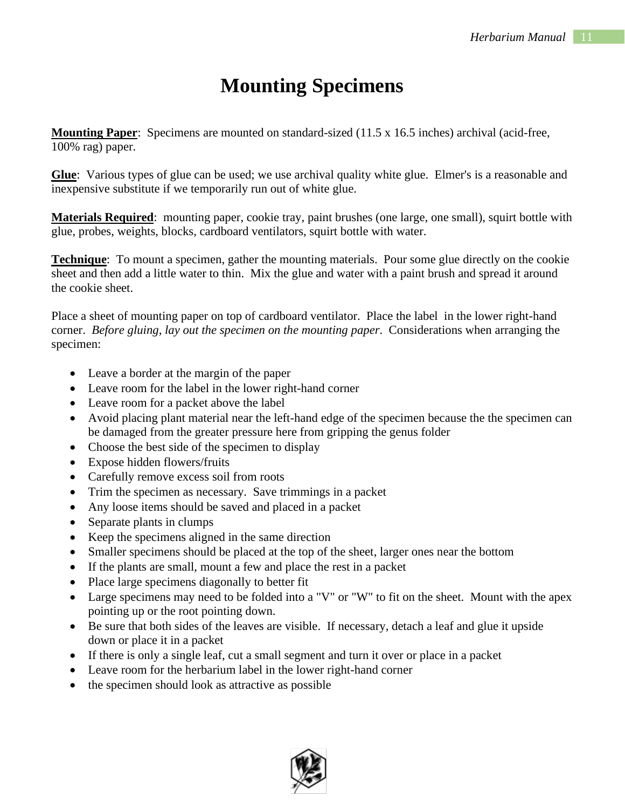# **Mounting Specimens**

**Mounting Paper**: Specimens are mounted on standard-sized (11.5 x 16.5 inches) archival (acid-free, 100% rag) paper.

**Glue**: Various types of glue can be used; we use archival quality white glue. Elmer's is a reasonable and inexpensive substitute if we temporarily run out of white glue.

**Materials Required**: mounting paper, cookie tray, paint brushes (one large, one small), squirt bottle with glue, probes, weights, blocks, cardboard ventilators, squirt bottle with water.

**Technique**: To mount a specimen, gather the mounting materials. Pour some glue directly on the cookie sheet and then add a little water to thin. Mix the glue and water with a paint brush and spread it around the cookie sheet.

Place a sheet of mounting paper on top of cardboard ventilator. Place the label in the lower right-hand corner. *Before gluing, lay out the specimen on the mounting paper*. Considerations when arranging the specimen:

- Leave a border at the margin of the paper
- Leave room for the label in the lower right-hand corner
- Leave room for a packet above the label
- Avoid placing plant material near the left-hand edge of the specimen because the the specimen can be damaged from the greater pressure here from gripping the genus folder
- Choose the best side of the specimen to display
- Expose hidden flowers/fruits
- Carefully remove excess soil from roots
- Trim the specimen as necessary. Save trimmings in a packet
- Any loose items should be saved and placed in a packet
- Separate plants in clumps
- Keep the specimens aligned in the same direction
- Smaller specimens should be placed at the top of the sheet, larger ones near the bottom
- If the plants are small, mount a few and place the rest in a packet
- Place large specimens diagonally to better fit
- Large specimens may need to be folded into a "V" or "W" to fit on the sheet. Mount with the apex pointing up or the root pointing down.
- Be sure that both sides of the leaves are visible. If necessary, detach a leaf and glue it upside down or place it in a packet
- If there is only a single leaf, cut a small segment and turn it over or place in a packet
- Leave room for the herbarium label in the lower right-hand corner
- the specimen should look as attractive as possible

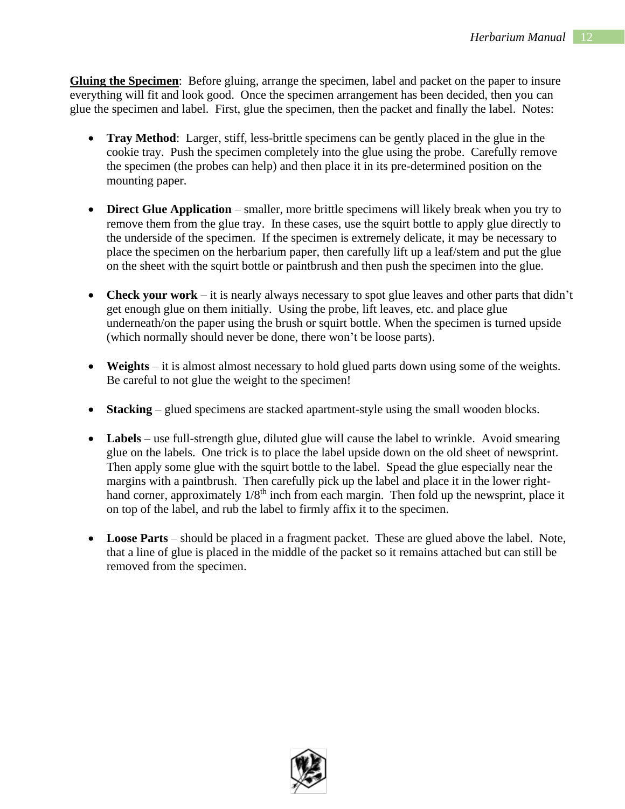**Gluing the Specimen**: Before gluing, arrange the specimen, label and packet on the paper to insure everything will fit and look good. Once the specimen arrangement has been decided, then you can glue the specimen and label. First, glue the specimen, then the packet and finally the label. Notes:

- **Tray Method**: Larger, stiff, less-brittle specimens can be gently placed in the glue in the cookie tray. Push the specimen completely into the glue using the probe. Carefully remove the specimen (the probes can help) and then place it in its pre-determined position on the mounting paper.
- **Direct Glue Application** smaller, more brittle specimens will likely break when you try to remove them from the glue tray. In these cases, use the squirt bottle to apply glue directly to the underside of the specimen. If the specimen is extremely delicate, it may be necessary to place the specimen on the herbarium paper, then carefully lift up a leaf/stem and put the glue on the sheet with the squirt bottle or paintbrush and then push the specimen into the glue.
- **Check your work** it is nearly always necessary to spot glue leaves and other parts that didn't get enough glue on them initially. Using the probe, lift leaves, etc. and place glue underneath/on the paper using the brush or squirt bottle. When the specimen is turned upside (which normally should never be done, there won't be loose parts).
- **Weights** it is almost almost necessary to hold glued parts down using some of the weights. Be careful to not glue the weight to the specimen!
- **Stacking** glued specimens are stacked apartment-style using the small wooden blocks.
- Labels use full-strength glue, diluted glue will cause the label to wrinkle. Avoid smearing glue on the labels. One trick is to place the label upside down on the old sheet of newsprint. Then apply some glue with the squirt bottle to the label. Spead the glue especially near the margins with a paintbrush. Then carefully pick up the label and place it in the lower righthand corner, approximately  $1/8<sup>th</sup>$  inch from each margin. Then fold up the newsprint, place it on top of the label, and rub the label to firmly affix it to the specimen.
- Loose Parts should be placed in a fragment packet. These are glued above the label. Note, that a line of glue is placed in the middle of the packet so it remains attached but can still be removed from the specimen.

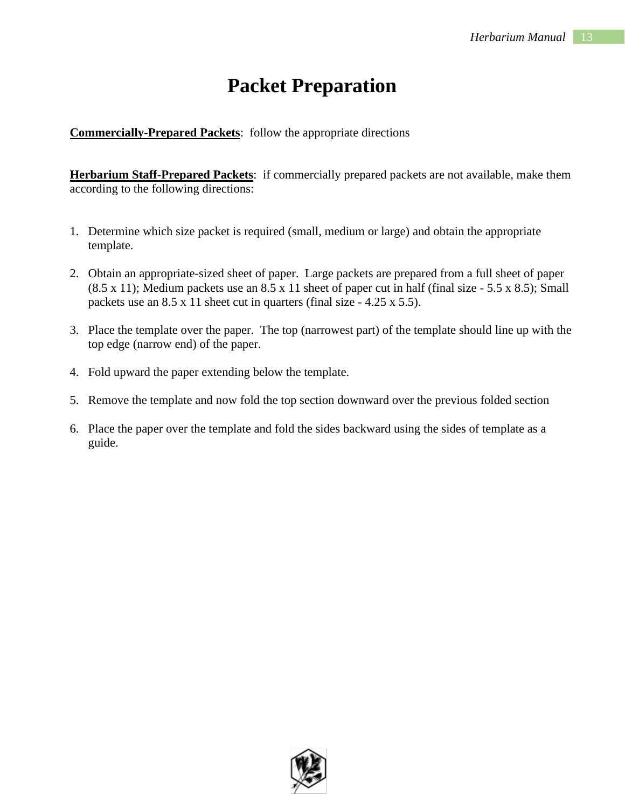### **Packet Preparation**

**Commercially-Prepared Packets**: follow the appropriate directions

**Herbarium Staff-Prepared Packets**: if commercially prepared packets are not available, make them according to the following directions:

- 1. Determine which size packet is required (small, medium or large) and obtain the appropriate template.
- 2. Obtain an appropriate-sized sheet of paper. Large packets are prepared from a full sheet of paper  $(8.5 \times 11)$ ; Medium packets use an  $8.5 \times 11$  sheet of paper cut in half (final size - 5.5 x 8.5); Small packets use an 8.5 x 11 sheet cut in quarters (final size - 4.25 x 5.5).
- 3. Place the template over the paper. The top (narrowest part) of the template should line up with the top edge (narrow end) of the paper.
- 4. Fold upward the paper extending below the template.
- 5. Remove the template and now fold the top section downward over the previous folded section
- 6. Place the paper over the template and fold the sides backward using the sides of template as a guide.

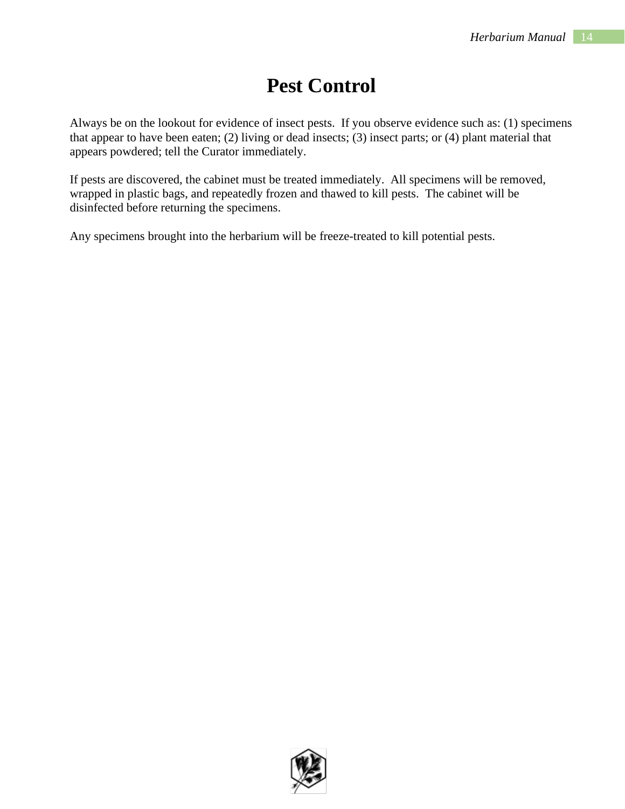### **Pest Control**

Always be on the lookout for evidence of insect pests. If you observe evidence such as: (1) specimens that appear to have been eaten; (2) living or dead insects; (3) insect parts; or (4) plant material that appears powdered; tell the Curator immediately.

If pests are discovered, the cabinet must be treated immediately. All specimens will be removed, wrapped in plastic bags, and repeatedly frozen and thawed to kill pests. The cabinet will be disinfected before returning the specimens.

Any specimens brought into the herbarium will be freeze-treated to kill potential pests.

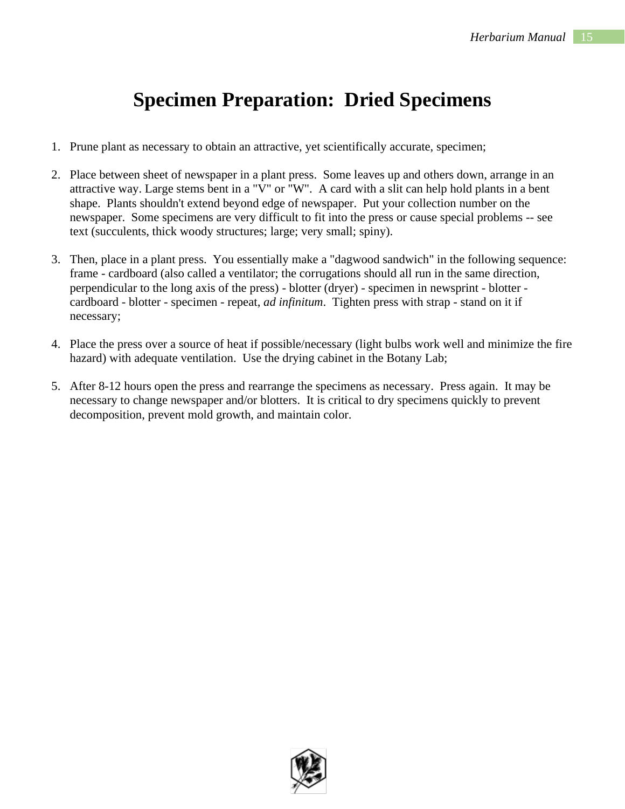### **Specimen Preparation: Dried Specimens**

- 1. Prune plant as necessary to obtain an attractive, yet scientifically accurate, specimen;
- 2. Place between sheet of newspaper in a plant press. Some leaves up and others down, arrange in an attractive way. Large stems bent in a "V" or "W". A card with a slit can help hold plants in a bent shape. Plants shouldn't extend beyond edge of newspaper. Put your collection number on the newspaper. Some specimens are very difficult to fit into the press or cause special problems -- see text (succulents, thick woody structures; large; very small; spiny).
- 3. Then, place in a plant press. You essentially make a "dagwood sandwich" in the following sequence: frame - cardboard (also called a ventilator; the corrugations should all run in the same direction, perpendicular to the long axis of the press) - blotter (dryer) - specimen in newsprint - blotter cardboard - blotter - specimen - repeat, *ad infinitum*. Tighten press with strap - stand on it if necessary;
- 4. Place the press over a source of heat if possible/necessary (light bulbs work well and minimize the fire hazard) with adequate ventilation. Use the drying cabinet in the Botany Lab;
- 5. After 8-12 hours open the press and rearrange the specimens as necessary. Press again. It may be necessary to change newspaper and/or blotters. It is critical to dry specimens quickly to prevent decomposition, prevent mold growth, and maintain color.

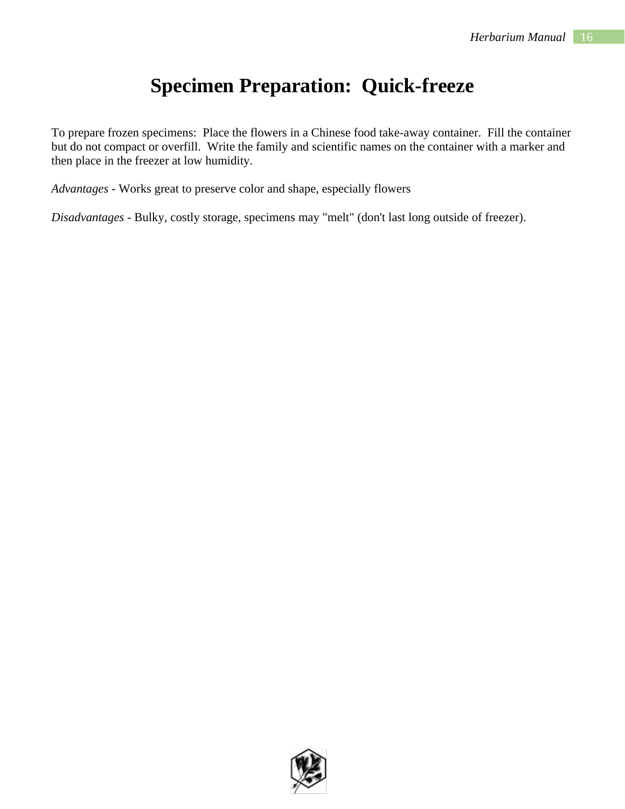# **Specimen Preparation: Quick-freeze**

To prepare frozen specimens: Place the flowers in a Chinese food take-away container. Fill the container but do not compact or overfill. Write the family and scientific names on the container with a marker and then place in the freezer at low humidity.

*Advantages* - Works great to preserve color and shape, especially flowers

*Disadvantages* - Bulky, costly storage, specimens may "melt" (don't last long outside of freezer).

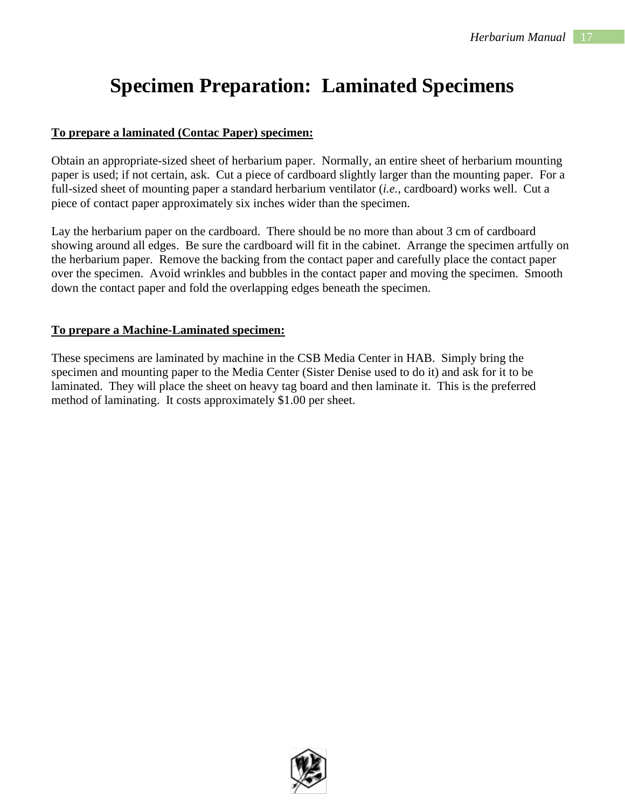# **Specimen Preparation: Laminated Specimens**

#### **To prepare a laminated (Contac Paper) specimen:**

Obtain an appropriate-sized sheet of herbarium paper. Normally, an entire sheet of herbarium mounting paper is used; if not certain, ask. Cut a piece of cardboard slightly larger than the mounting paper. For a full-sized sheet of mounting paper a standard herbarium ventilator (*i.e.,* cardboard) works well. Cut a piece of contact paper approximately six inches wider than the specimen.

Lay the herbarium paper on the cardboard. There should be no more than about 3 cm of cardboard showing around all edges. Be sure the cardboard will fit in the cabinet. Arrange the specimen artfully on the herbarium paper. Remove the backing from the contact paper and carefully place the contact paper over the specimen. Avoid wrinkles and bubbles in the contact paper and moving the specimen. Smooth down the contact paper and fold the overlapping edges beneath the specimen.

#### **To prepare a Machine-Laminated specimen:**

These specimens are laminated by machine in the CSB Media Center in HAB. Simply bring the specimen and mounting paper to the Media Center (Sister Denise used to do it) and ask for it to be laminated. They will place the sheet on heavy tag board and then laminate it. This is the preferred method of laminating. It costs approximately \$1.00 per sheet.

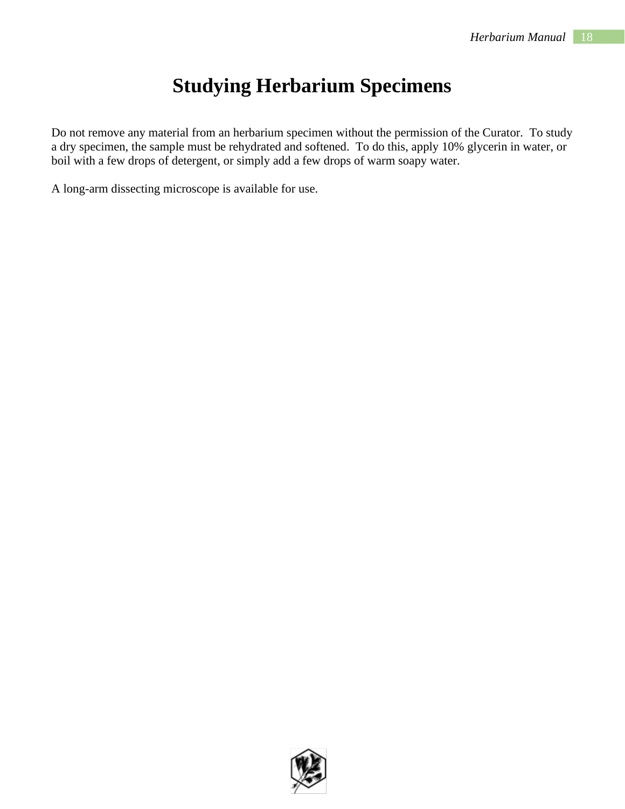## **Studying Herbarium Specimens**

Do not remove any material from an herbarium specimen without the permission of the Curator. To study a dry specimen, the sample must be rehydrated and softened. To do this, apply 10% glycerin in water, or boil with a few drops of detergent, or simply add a few drops of warm soapy water.

A long-arm dissecting microscope is available for use.